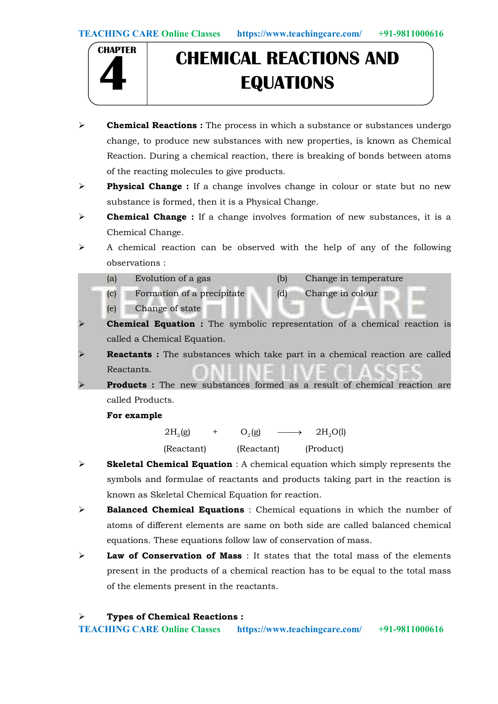

# **CHEMICAL REACTIONS AND 4 EQUATIONS**

- $\triangleright$  **Chemical Reactions :** The process in which a substance or substances undergo change, to produce new substances with new properties, is known as Chemical Reaction. During a chemical reaction, there is breaking of bonds between atoms of the reacting molecules to give products.
- $\triangleright$  Physical Change : If a change involves change in colour or state but no new substance is formed, then it is a Physical Change.
- $\triangleright$  **Chemical Change :** If a change involves formation of new substances, it is a Chemical Change.
- $\triangleright$  A chemical reaction can be observed with the help of any of the following observations :
	- (a) Evolution of a gas (b) Change in temperature
	- (c) Formation of a precipitate (d) Change in colour
	- (e) Change of state
- Chemical Equation : The symbolic representation of a chemical reaction is called a Chemical Equation.
- Reactants : The substances which take part in a chemical reaction are called Reactants.
- Products : The new substances formed as a result of chemical reaction are called Products.

For example

 $2H_2(g)$  +  $O_2(g)$   $\longrightarrow$   $2H_2O(l)$ (Reactant) (Reactant) (Product)

- $\triangleright$  Skeletal Chemical Equation : A chemical equation which simply represents the symbols and formulae of reactants and products taking part in the reaction is known as Skeletal Chemical Equation for reaction.
- $\triangleright$  **Balanced Chemical Equations** : Chemical equations in which the number of atoms of different elements are same on both side are called balanced chemical equations. These equations follow law of conservation of mass.
- $\triangleright$  Law of Conservation of Mass : It states that the total mass of the elements present in the products of a chemical reaction has to be equal to the total mass of the elements present in the reactants.

> Types of Chemical Reactions :

TEACHING CARE Online Classes https://www.teachingcare.com/ +91-9811000616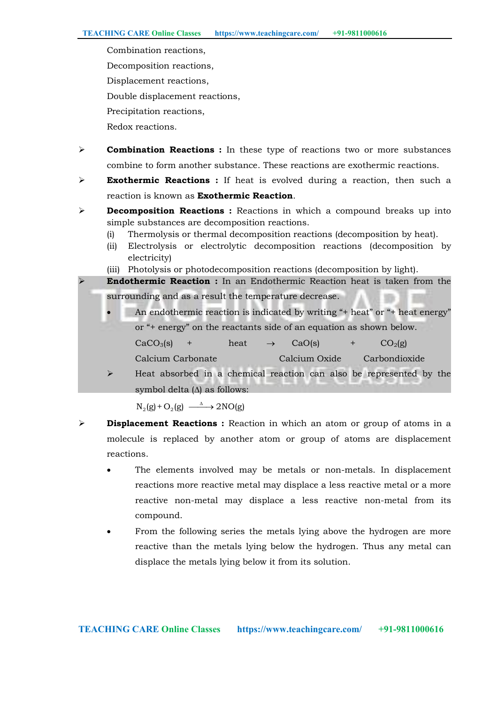Combination reactions, Decomposition reactions, Displacement reactions, Double displacement reactions, Precipitation reactions, Redox reactions.

- $\triangleright$  **Combination Reactions :** In these type of reactions two or more substances combine to form another substance. These reactions are exothermic reactions.
- Exothermic Reactions: If heat is evolved during a reaction, then such a reaction is known as Exothermic Reaction.
- $\triangleright$  **Decomposition Reactions :** Reactions in which a compound breaks up into simple substances are decomposition reactions.
	- (i) Thermolysis or thermal decomposition reactions (decomposition by heat).
	- (ii) Electrolysis or electrolytic decomposition reactions (decomposition by electricity)
	- (iii) Photolysis or photodecomposition reactions (decomposition by light).

 Endothermic Reaction : In an Endothermic Reaction heat is taken from the surrounding and as a result the temperature decrease.

- An endothermic reaction is indicated by writing "+ heat" or "+ heat energy" or "+ energy" on the reactants side of an equation as shown below.  $CaCO<sub>3</sub>(s)$  + heat  $\rightarrow$  CaO(s) + CO<sub>2</sub>(g)
	- Calcium Carbonate Calcium Oxide Carbondioxide

 $\triangleright$  Heat absorbed in a chemical reaction can also be represented by the symbol delta  $(A)$  as follows:

 $N_2(g) + O_2(g) \longrightarrow 2NO(g)$ 

- $\triangleright$  **Displacement Reactions :** Reaction in which an atom or group of atoms in a molecule is replaced by another atom or group of atoms are displacement reactions.
	- The elements involved may be metals or non-metals. In displacement reactions more reactive metal may displace a less reactive metal or a more reactive non-metal may displace a less reactive non-metal from its compound.
	- From the following series the metals lying above the hydrogen are more reactive than the metals lying below the hydrogen. Thus any metal can displace the metals lying below it from its solution.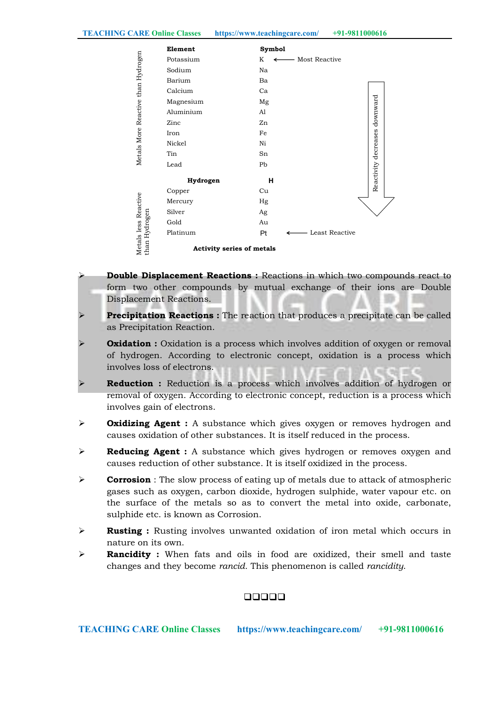TEACHING CARE Online Classes https://www.teachingcare.com/ +91-9811000616

|                                       | Element                          | <b>Symbol</b>           |                      |
|---------------------------------------|----------------------------------|-------------------------|----------------------|
| Metals More Reactive than Hydrogen    | Potassium                        | K<br>Most Reactive<br>← |                      |
|                                       | Sodium                           | Na                      |                      |
|                                       | Barium                           | Ba                      |                      |
|                                       | Calcium                          | Ca                      |                      |
|                                       | Magnesium                        | Mg                      | downward             |
|                                       | Aluminium                        | Al                      |                      |
|                                       | Zinc                             | Zn                      |                      |
|                                       | Iron                             | Fe                      |                      |
|                                       | Nickel                           | Ni                      |                      |
|                                       | Tin                              | Sn                      |                      |
|                                       | Lead                             | Pb                      |                      |
|                                       | Hydrogen                         | н                       | Reactivity decreases |
| Metals less Reactive<br>than Hydrogen | Copper                           | Cu                      |                      |
|                                       | Mercury                          | Hg                      |                      |
|                                       | Silver                           | Ag                      |                      |
|                                       | Gold                             | Au                      |                      |
|                                       | Platinum                         | Pt<br>Least Reactive    |                      |
|                                       | <b>Activity series of metals</b> |                         |                      |

- Double Displacement Reactions : Reactions in which two compounds react to form two other compounds by mutual exchange of their ions are Double Displacement Reactions.
- **Precipitation Reactions :** The reaction that produces a precipitate can be called as Precipitation Reaction.
- **Oxidation :** Oxidation is a process which involves addition of oxygen or removal of hydrogen. According to electronic concept, oxidation is a process which involves loss of electrons.
- Reduction : Reduction is a process which involves addition of hydrogen or removal of oxygen. According to electronic concept, reduction is a process which involves gain of electrons.
- $\triangleright$  **Oxidizing Agent :** A substance which gives oxygen or removes hydrogen and causes oxidation of other substances. It is itself reduced in the process.
- $\triangleright$  Reducing Agent : A substance which gives hydrogen or removes oxygen and causes reduction of other substance. It is itself oxidized in the process.
- **Corrosion** : The slow process of eating up of metals due to attack of atmospheric gases such as oxygen, carbon dioxide, hydrogen sulphide, water vapour etc. on the surface of the metals so as to convert the metal into oxide, carbonate, sulphide etc. is known as Corrosion.
- $\triangleright$  **Rusting :** Rusting involves unwanted oxidation of iron metal which occurs in nature on its own.
- **Rancidity :** When fats and oils in food are oxidized, their smell and taste changes and they become *rancid.* This phenomenon is called *rancidity*.

# 00000

TEACHING CARE Online Classes https://www.teachingcare.com/ +91-9811000616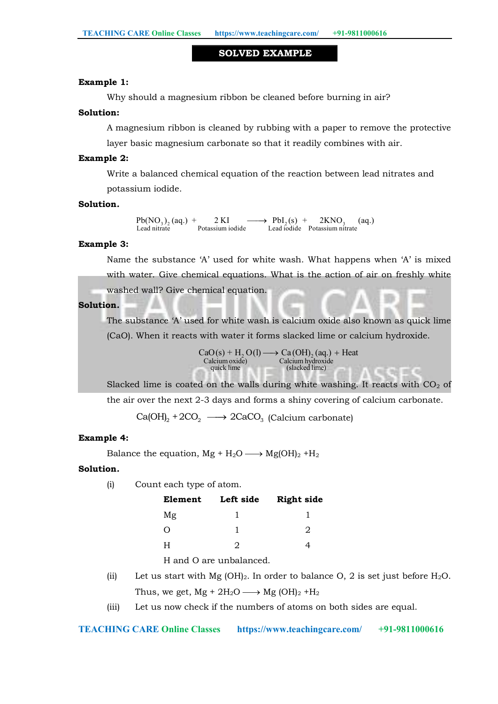#### SOLVED EXAMPLE

#### Example 1:

Why should a magnesium ribbon be cleaned before burning in air?

#### Solution:

A magnesium ribbon is cleaned by rubbing with a paper to remove the protective layer basic magnesium carbonate so that it readily combines with air.

#### Example 2:

Write a balanced chemical equation of the reaction between lead nitrates and potassium iodide.

#### Solution*.*

Lead nitrate Potassium iodide Lead iodide Potassium nitrate  $Pb(NO<sub>3</sub>)<sub>2</sub>$  (aq.) + 2 KI  $\longrightarrow PbI<sub>2</sub>(s) + 2KNO<sub>3</sub>$  (aq.)<br>Lead nitrate Potassium iodide Lead iodide Potassium nitrate

#### Example 3:

Name the substance 'A' used for white wash. What happens when 'A' is mixed with water. Give chemical equations. What is the action of air on freshly white washed wall? Give chemical equation.

### Solution*.*

The substance 'A' used for white wash is calcium oxide also known as quick lime (CaO). When it reacts with water it forms slacked lime or calcium hydroxide.

> $CaO(s) + H_2O(l) \longrightarrow Ca(OH)_2(aq.) + Heat$ Calcium oxide) Calcium hydroxide (slacked lime)

Slacked lime is coated on the walls during white washing. It reacts with  $CO<sub>2</sub>$  of the air over the next 2-3 days and forms a shiny covering of calcium carbonate.

 $Ca(OH)_{2} + 2CO_{2} \longrightarrow 2CaCO_{3}$  (Calcium carbonate)

#### Example 4:

Balance the equation,  $Mg + H_2O \longrightarrow Mg(OH)_2 + H_2$ 

#### Solution*.*

(i) Count each type of atom.

| Element  | Left side | <b>Right side</b> |  |  |
|----------|-----------|-------------------|--|--|
| Mg       |           |                   |  |  |
| $\left($ |           | 2                 |  |  |
| H        |           |                   |  |  |

H and O are unbalanced.

- (ii) Let us start with Mg (OH)<sub>2</sub>. In order to balance O, 2 is set just before H<sub>2</sub>O. Thus, we get,  $Mg + 2H_2O \longrightarrow Mg (OH)_2 + H_2$
- (iii) Let us now check if the numbers of atoms on both sides are equal.

```
TEACHING CARE Online Classes https://www.teachingcare.com/ +91-9811000616
```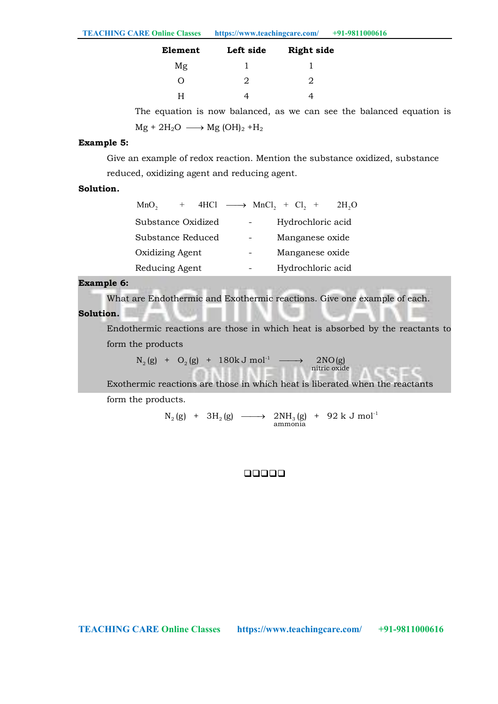| Element          | Left side                   | <b>Right side</b> |
|------------------|-----------------------------|-------------------|
| Mg               |                             |                   |
| $\left( \right)$ | $\mathcal{L}_{\mathcal{L}}$ | 2.                |
|                  |                             |                   |

The equation is now balanced, as we can see the balanced equation is  $Mg + 2H_2O \longrightarrow Mg (OH)_2 + H_2$ 

#### Example 5:

Give an example of redox reaction. Mention the substance oxidized, substance reduced, oxidizing agent and reducing agent.

### Solution*.*

| MnO <sub>2</sub>   | 4HCl $\longrightarrow$ MnCl <sub>2</sub> + Cl <sub>2</sub> + |  |  |                   | 2H <sub>2</sub> O |
|--------------------|--------------------------------------------------------------|--|--|-------------------|-------------------|
| Substance Oxidized |                                                              |  |  | Hydrochloric acid |                   |
| Substance Reduced  |                                                              |  |  | Manganese oxide   |                   |
| Oxidizing Agent    |                                                              |  |  | Manganese oxide   |                   |
| Reducing Agent     |                                                              |  |  | Hydrochloric acid |                   |

## Example 6:

What are Endothermic and Exothermic reactions. Give one example of each.

#### Solution*.*

Endothermic reactions are those in which heat is absorbed by the reactants to form the products

 $\begin{CD} \text{C}_2(\text{g}) & + & \text{O}_2(\text{g}) & + & 180 \text{k J} \; \text{mol}^{-1} & \longrightarrow & 2 \text{NO}(\text{g}) \ \text{mitric oxide} \end{CD}$  $\mathrm{N}_2^{\phantom{\prime}}(\mathrm{g})$  +  $\mathrm{O}_2^{\phantom{\prime}}(\mathrm{g})$  +  $180 \mathrm{k\,J\,mol^{-1}}$  -------->  $2\,\mathrm{NO}(\mathrm{g})$ 

Exothermic reactions are those in which heat is liberated when the reactants form the products.

> $_2$  (g)  $+$  3H<sub>2</sub> (g)  $\longrightarrow$  2NH<sub>3</sub> (g)  $+$  92 k J mol<sup>-1</sup><br>ammonia  $\mathrm{N}_2^{\phantom{\dag}}(\mathrm{g})$  + 3H $_2^{\phantom{\dag}}(\mathrm{g})$  -------> 2NH $_3^{\phantom{\dag}}(\mathrm{g})$  + 92 k J mol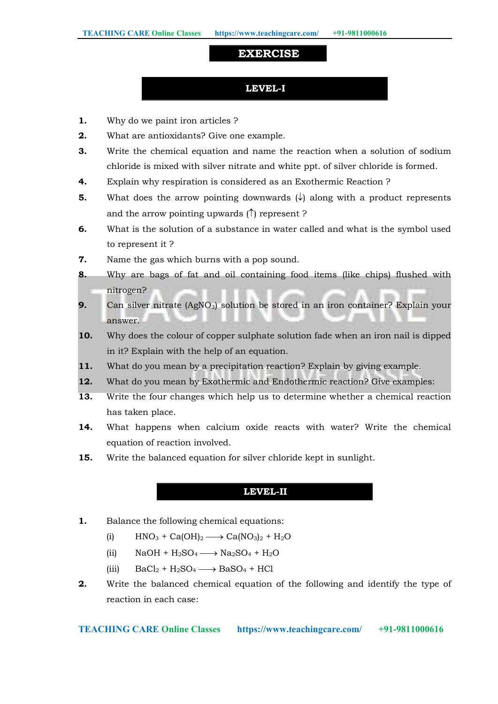# EXERCISE

# LEVEL-I

- 1. Why do we paint iron articles ?
- 2. What are antioxidants? Give one example.
- **3.** Write the chemical equation and name the reaction when a solution of sodium chloride is mixed with silver nitrate and white ppt. of silver chloride is formed.
- 4. Explain why respiration is considered as an Exothermic Reaction ?
- **5.** What does the arrow pointing downwards  $(\downarrow)$  along with a product represents and the arrow pointing upwards  $(\uparrow)$  represent ?
- 6. What is the solution of a substance in water called and what is the symbol used to represent it ?
- 7. Name the gas which burns with a pop sound.
- 8. Why are bags of fat and oil containing food items (like chips) flushed with nitrogen?
- 9. Can silver nitrate (AgNO<sub>3</sub>) solution be stored in an iron container? Explain your answer.
- 10. Why does the colour of copper sulphate solution fade when an iron nail is dipped in it? Explain with the help of an equation.
- 11. What do you mean by a precipitation reaction? Explain by giving example.
- 12. What do you mean by Exothermic and Endothermic reaction? Give examples:
- 13. Write the four changes which help us to determine whether a chemical reaction has taken place.
- 14. What happens when calcium oxide reacts with water? Write the chemical equation of reaction involved.
- 15. Write the balanced equation for silver chloride kept in sunlight.

# LEVEL-II

- 1. Balance the following chemical equations:
	- (i)  $HNO_3 + Ca(OH)_2 \longrightarrow Ca(NO_3)_2 + H_2O$
	- (ii)  $NaOH + H_2SO_4 \longrightarrow Na_2SO_4 + H_2O$
	- (iii)  $BaCl_2 + H_2SO_4 \longrightarrow BaSO_4 + HCl$
- **2.** Write the balanced chemical equation of the following and identify the type of reaction in each case: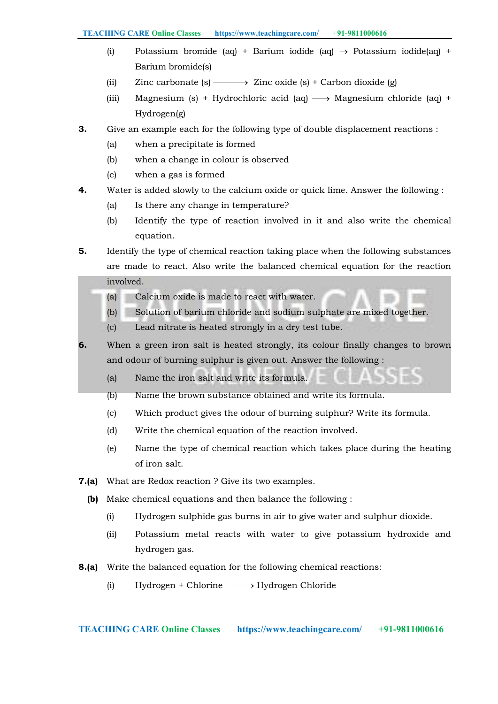- (i) Potassium bromide (aq) + Barium iodide (aq)  $\rightarrow$  Potassium iodide(aq) + Barium bromide(s)
- (ii) Zinc carbonate (s)  $\longrightarrow$  Zinc oxide (s) + Carbon dioxide (g)
- (iii) Magnesium (s) + Hydrochloric acid (aq)  $\longrightarrow$  Magnesium chloride (aq) + Hydrogen(g)
- 3. Give an example each for the following type of double displacement reactions :
	- (a) when a precipitate is formed
	- (b) when a change in colour is observed
	- (c) when a gas is formed
- 4. Water is added slowly to the calcium oxide or quick lime. Answer the following :
	- (a) Is there any change in temperature?
	- (b) Identify the type of reaction involved in it and also write the chemical equation.
- 5. Identify the type of chemical reaction taking place when the following substances are made to react. Also write the balanced chemical equation for the reaction involved.
	- (a) Calcium oxide is made to react with water.
	- (b) Solution of barium chloride and sodium sulphate are mixed together.
	- (c) Lead nitrate is heated strongly in a dry test tube.
- 6. When a green iron salt is heated strongly, its colour finally changes to brown and odour of burning sulphur is given out. Answer the following :
	- (a) Name the iron salt and write its formula.
	- (b) Name the brown substance obtained and write its formula.
	- (c) Which product gives the odour of burning sulphur? Write its formula.
	- (d) Write the chemical equation of the reaction involved.
	- (e) Name the type of chemical reaction which takes place during the heating of iron salt.
- 7.(a) What are Redox reaction ? Give its two examples.
	- (b) Make chemical equations and then balance the following :
		- (i) Hydrogen sulphide gas burns in air to give water and sulphur dioxide.
		- (ii) Potassium metal reacts with water to give potassium hydroxide and hydrogen gas.
- 8.(a) Write the balanced equation for the following chemical reactions:
	- (i) Hydrogen + Chlorine  $\longrightarrow$  Hydrogen Chloride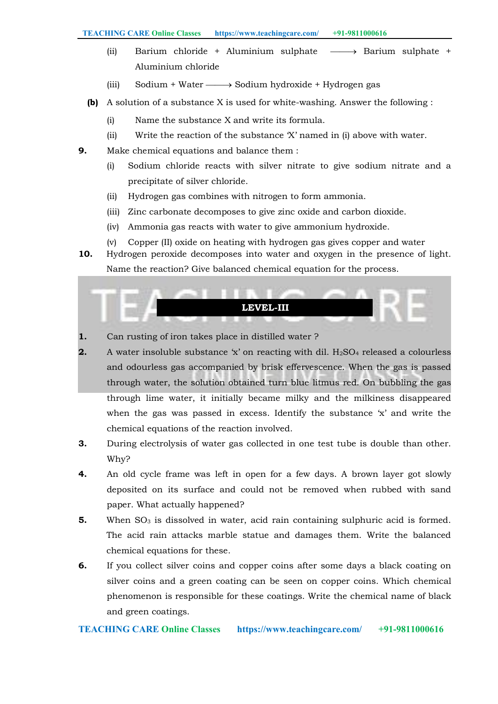- (ii) Barium chloride + Aluminium sulphate  $\longrightarrow$  Barium sulphate + Aluminium chloride
- (iii) Sodium + Water  $\longrightarrow$  Sodium hydroxide + Hydrogen gas
- (b) A solution of a substance X is used for white-washing. Answer the following :
	- (i) Name the substance X and write its formula.
	- (ii) Write the reaction of the substance 'X' named in (i) above with water.
- 9. Make chemical equations and balance them :
	- (i) Sodium chloride reacts with silver nitrate to give sodium nitrate and a precipitate of silver chloride.
	- (ii) Hydrogen gas combines with nitrogen to form ammonia.
	- (iii) Zinc carbonate decomposes to give zinc oxide and carbon dioxide.
	- (iv) Ammonia gas reacts with water to give ammonium hydroxide.
	- (v) Copper (II) oxide on heating with hydrogen gas gives copper and water
- 10. Hydrogen peroxide decomposes into water and oxygen in the presence of light. Name the reaction? Give balanced chemical equation for the process.

# LEVEL-III

- 1. Can rusting of iron takes place in distilled water ?
- **2.** A water insoluble substance  $\dot{x}$  on reacting with dil. H<sub>2</sub>SO<sub>4</sub> released a colourless and odourless gas accompanied by brisk effervescence. When the gas is passed through water, the solution obtained turn blue litmus red. On bubbling the gas through lime water, it initially became milky and the milkiness disappeared when the gas was passed in excess. Identify the substance 'x' and write the chemical equations of the reaction involved.
- 3. During electrolysis of water gas collected in one test tube is double than other. Why?
- 4. An old cycle frame was left in open for a few days. A brown layer got slowly deposited on its surface and could not be removed when rubbed with sand paper. What actually happened?
- 5. When  $SO_3$  is dissolved in water, acid rain containing sulphuric acid is formed. The acid rain attacks marble statue and damages them. Write the balanced chemical equations for these.
- 6. If you collect silver coins and copper coins after some days a black coating on silver coins and a green coating can be seen on copper coins. Which chemical phenomenon is responsible for these coatings. Write the chemical name of black and green coatings.

# TEACHING CARE Online Classes https://www.teachingcare.com/ +91-9811000616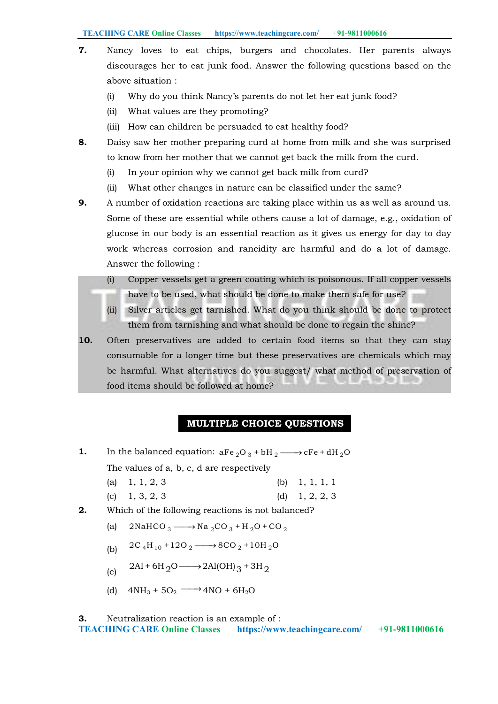TEACHING CARE Online Classes https://www.teachingcare.com/ +91-9811000616

- 7. Nancy loves to eat chips, burgers and chocolates. Her parents always discourages her to eat junk food. Answer the following questions based on the above situation :
	- (i) Why do you think Nancy's parents do not let her eat junk food?
	- (ii) What values are they promoting?
	- (iii) How can children be persuaded to eat healthy food?
- 8. Daisy saw her mother preparing curd at home from milk and she was surprised to know from her mother that we cannot get back the milk from the curd.
	- (i) In your opinion why we cannot get back milk from curd?
	- (ii) What other changes in nature can be classified under the same?
- **9.** A number of oxidation reactions are taking place within us as well as around us. Some of these are essential while others cause a lot of damage, e.g., oxidation of glucose in our body is an essential reaction as it gives us energy for day to day work whereas corrosion and rancidity are harmful and do a lot of damage. Answer the following :
	- (i) Copper vessels get a green coating which is poisonous. If all copper vessels have to be used, what should be done to make them safe for use?
	- (ii) Silver articles get tarnished. What do you think should be done to protect them from tarnishing and what should be done to regain the shine?
- 10. Often preservatives are added to certain food items so that they can stay consumable for a longer time but these preservatives are chemicals which may be harmful. What alternatives do you suggest/ what method of preservation of food items should be followed at home?

# MULTIPLE CHOICE QUESTIONS

- **1.** In the balanced equation:  $aFe_2O_3 + bH_2 \longrightarrow cFe + dH_2O$ The values of a, b, c, d are respectively
	- (a) 1, 1, 2, 3 (b) 1, 1, 1, 1
	- (c)  $1, 3, 2, 3$  (d)  $1, 2, 2, 3$
- 2. Which of the following reactions is not balanced?
	- (a)  $2NaffCO_3 \longrightarrow Na_2CO_3 + H_2O + CO_2$
	- (b)  $2C_4H_{10} + 12O_2 \longrightarrow 8CO_2 + 10H_2O$
	- (c)  $2\text{Al} + 6\text{H}_2\text{O} \longrightarrow 2\text{Al}(\text{OH})_3 + 3\text{H}_2$
	- (d)  $4NH_3 + 5O_2 \longrightarrow 4NO + 6H_2O$

#### TEACHING CARE Online Classes https://www.teachingcare.com/ +91-9811000616 3. Neutralization reaction is an example of :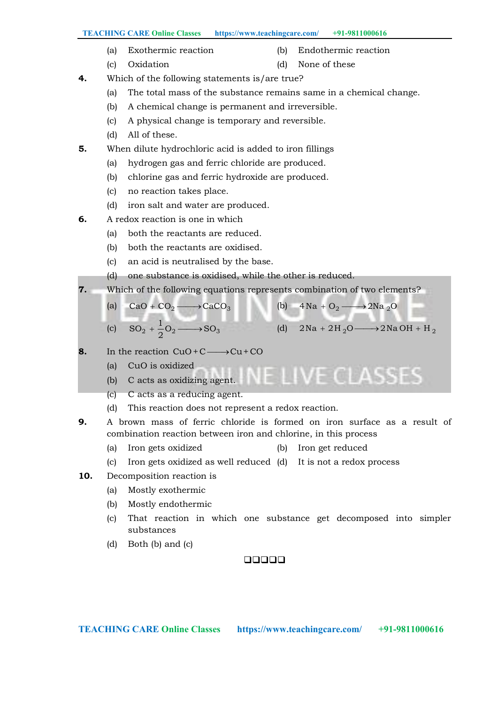- (a) Exothermic reaction (b) Endothermic reaction
- 
- (c) Oxidation (d) None of these
- 4. Which of the following statements is/are true?
	- (a) The total mass of the substance remains same in a chemical change.
	- (b) A chemical change is permanent and irreversible.
	- (c) A physical change is temporary and reversible.
	- (d) All of these.
- **5.** When dilute hydrochloric acid is added to iron fillings
	- (a) hydrogen gas and ferric chloride are produced.
	- (b) chlorine gas and ferric hydroxide are produced.
	- (c) no reaction takes place.
	- (d) iron salt and water are produced.
- 6. A redox reaction is one in which
	- (a) both the reactants are reduced.
	- (b) both the reactants are oxidised.
	- (c) an acid is neutralised by the base.
	- (d) one substance is oxidised, while the other is reduced.
- 7. Which of the following equations represents combination of two elements?
	- (a)  $CaO + CO_2 \longrightarrow CaCO_3$  (b)  $4Na + O_2 \longrightarrow 2Na_2O$ 
		-
	- (c)  $SO_2 + \frac{1}{2}O_2 \longrightarrow SO_3$ 2 (d)  $2\text{Na} + 2\text{H}_2\text{O} \longrightarrow 2\text{Na} \cdot \text{OH} + \text{H}_2$
- 8. In the reaction  $CuO+C \longrightarrow Cu+CO$ 
	- (a) CuO is oxidized
	- JE LIVE CLASSES (b) C acts as oxidizing agent.
	- (c) C acts as a reducing agent.
	- (d) This reaction does not represent a redox reaction.
- 9. A brown mass of ferric chloride is formed on iron surface as a result of combination reaction between iron and chlorine, in this process
	- (a) Iron gets oxidized (b) Iron get reduced
	- (c) Iron gets oxidized as well reduced (d) It is not a redox process
- 10. Decomposition reaction is
	- (a) Mostly exothermic
	- (b) Mostly endothermic
	- (c) That reaction in which one substance get decomposed into simpler substances
	- (d) Both (b) and (c)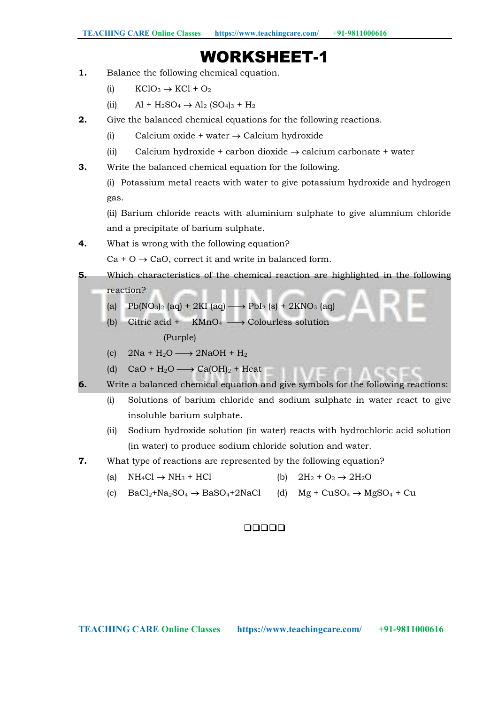# WORKSHEET-1

- 1. Balance the following chemical equation.
	- (i)  $KC1O_3 \rightarrow KC1 + O_2$
	- (ii)  $\text{Al} + \text{H}_2\text{SO}_4 \rightarrow \text{Al}_2$  (SO<sub>4</sub>)<sub>3</sub> + H<sub>2</sub>
- 2. Give the balanced chemical equations for the following reactions.
	- (i) Calcium oxide + water  $\rightarrow$  Calcium hydroxide
	- (ii) Calcium hydroxide + carbon dioxide  $\rightarrow$  calcium carbonate + water
- 3. Write the balanced chemical equation for the following.

(i) Potassium metal reacts with water to give potassium hydroxide and hydrogen gas.

(ii) Barium chloride reacts with aluminium sulphate to give alumnium chloride and a precipitate of barium sulphate.

4. What is wrong with the following equation?

 $Ca + O \rightarrow CaO$ , correct it and write in balanced form.

- 5. Which characteristics of the chemical reaction are highlighted in the following reaction?
	- (a)  $Pb(NO<sub>3</sub>)<sub>2</sub>$  (aq) + 2KI (aq)  $\longrightarrow PbI<sub>2</sub>$  (s) + 2KNO<sub>3</sub> (aq)
	- (b) Citric acid +  $KMnO_4 \longrightarrow$  Colourless solution (Purple)
	- (c)  $2\text{Na} + \text{H}_2\text{O} \longrightarrow 2\text{NaOH} + \text{H}_2$
	- (d)  $CaO + H_2O \longrightarrow Ca(OH)_2 + Heat$
- 6. Write a balanced chemical equation and give symbols for the following reactions:
	- (i) Solutions of barium chloride and sodium sulphate in water react to give insoluble barium sulphate.
	- (ii) Sodium hydroxide solution (in water) reacts with hydrochloric acid solution (in water) to produce sodium chloride solution and water.
- 7. What type of reactions are represented by the following equation?
	- (a)  $NH_4Cl \rightarrow NH_3 + HCl$  (b)  $2H_2 + O_2 \rightarrow 2H_2O$
	- (c)  $BaCl_2+Na_2SO_4 \rightarrow BaSO_4+2NaCl$  (d)  $Mg + CuSO_4 \rightarrow MgSO_4 + Cu$